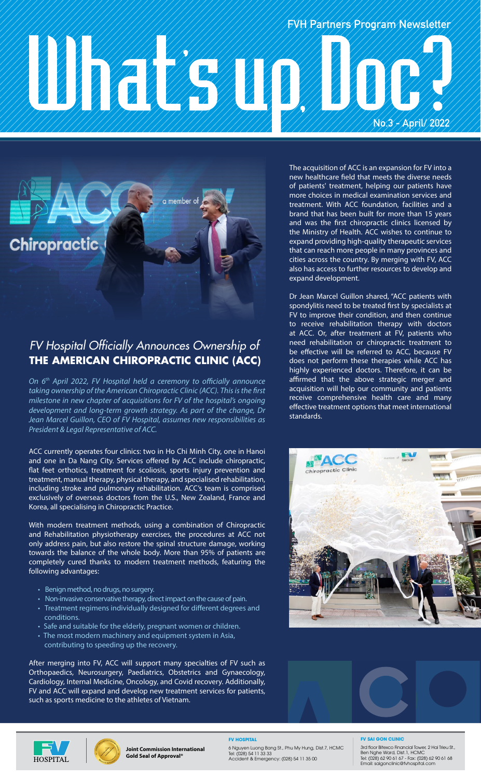# No. 3 - April 2022<br>1991 - April 2022, April 2022, April 2022, April 2022 **FVH Partners Program Newsletter**



## **THE AMERICAN CHIROPRACTIC CLINIC (ACC)** *FV Hospital Officially Announces Ownership of*

*On 6th April 2022, FV Hospital held a ceremony to officially announce taking ownership of the American Chiropractic Clinic (ACC). This is the first milestone in new chapter of acquisitions for FV of the hospital's ongoing development and long-term growth strategy. As part of the change, Dr Jean Marcel Guillon, CEO of FV Hospital, assumes new responsibilities as President & Legal Representative of ACC.*

ACC currently operates four clinics: two in Ho Chi Minh City, one in Hanoi and one in Da Nang City. Services offered by ACC include chiropractic, flat feet orthotics, treatment for scoliosis, sports injury prevention and treatment, manual therapy, physical therapy, and specialised rehabilitation, including stroke and pulmonary rehabilitation. ACC's team is comprised exclusively of overseas doctors from the U.S., New Zealand, France and Korea, all specialising in Chiropractic Practice.

With modern treatment methods, using a combination of Chiropractic and Rehabilitation physiotherapy exercises, the procedures at ACC not only address pain, but also restore the spinal structure damage, working towards the balance of the whole body. More than 95% of patients are completely cured thanks to modern treatment methods, featuring the following advantages:

- Benign method, no drugs, no surgery.
- Non-invasive conservative therapy, direct impact on the cause of pain.
- Treatment regimens individually designed for different degrees and conditions.
- Safe and suitable for the elderly, pregnant women or children.
- The most modern machinery and equipment system in Asia, contributing to speeding up the recovery.

After merging into FV, ACC will support many specialties of FV such as Orthopaedics, Neurosurgery, Paediatrics, Obstetrics and Gynaecology, Cardiology, Internal Medicine, Oncology, and Covid recovery. Additionally, FV and ACC will expand and develop new treatment services for patients, such as sports medicine to the athletes of Vietnam.

The acquisition of ACC is an expansion for FV into a new healthcare field that meets the diverse needs of patients' treatment, helping our patients have more choices in medical examination services and treatment. With ACC foundation, facilities and a brand that has been built for more than 15 years and was the first chiropractic clinics licensed by the Ministry of Health. ACC wishes to continue to expand providing high-quality therapeutic services that can reach more people in many provinces and cities across the country. By merging with FV, ACC also has access to further resources to develop and expand development.

Dr Jean Marcel Guillon shared, "ACC patients with spondylitis need to be treated first by specialists at FV to improve their condition, and then continue to receive rehabilitation therapy with doctors at ACC. Or, after treatment at FV, patients who need rehabilitation or chiropractic treatment to be effective will be referred to ACC, because FV does not perform these therapies while ACC has highly experienced doctors. Therefore, it can be affirmed that the above strategic merger and acquisition will help our community and patients receive comprehensive health care and many effective treatment options that meet international standards.









**Joint Commission International Gold Seal of Approval®**

**FV HOSPITAL** 6 Nguyen Luong Bang St., Phu My Hung, Dist.7, HCMC Tel: (028) 54 11 33 33 Accident & Emergency: (028) 54 11 35 00

#### **FV SAI GON CLINIC**

3rd floor Bitexco Financial Tower, 2 Hai Trieu St.,<br>Ben Nghe Ward, Dist.1, HCMC<br>Tel: (028) 62 90 61 67 - Fax: (028) 62 90 61 68<br>Email: saigonclinic@fvhospital.com